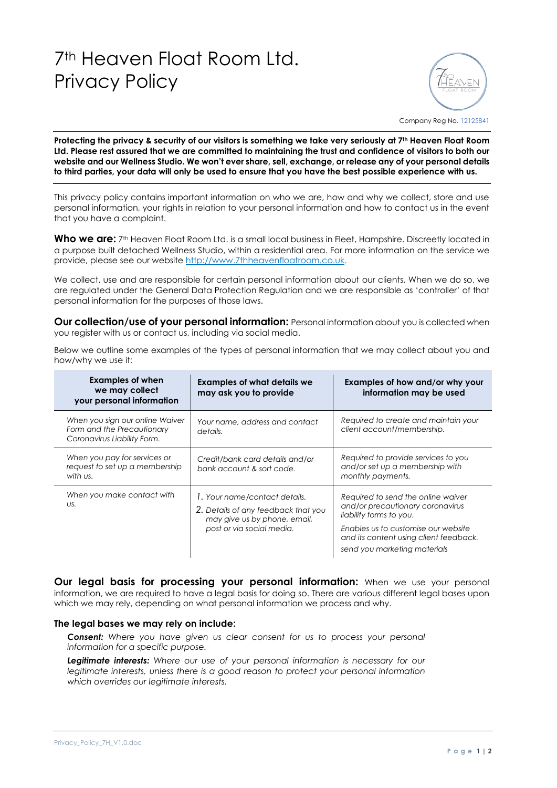## 7th Heaven Float Room Ltd. Privacy Policy



Company Reg No. 12125841

**Protecting the privacy & security of our visitors is something we take very seriously at 7th Heaven Float Room Ltd. Please rest assured that we are committed to maintaining the trust and confidence of visitors to both our website and our Wellness Studio. We won't ever share, sell, exchange, or release any of your personal details to third parties, your data will only be used to ensure that you have the best possible experience with us.** 

This privacy policy contains important information on who we are, how and why we collect, store and use personal information, your rights in relation to your personal information and how to contact us in the event that you have a complaint.

Who we are: 7<sup>th</sup> Heaven Float Room Ltd. is a small local business in Fleet, Hampshire. Discreetly located in a purpose built detached Wellness Studio, within a residential area. For more information on the service we provide, please see our websit[e http://www.7thheavenfloatroom.co.uk.](http://www.7thheavenfloatroom.co.uk/)

We collect, use and are responsible for certain personal information about our clients. When we do so, we are regulated under the General Data Protection Regulation and we are responsible as 'controller' of that personal information for the purposes of those laws.

**Our collection/use of your personal information:** Personal information about you is collected when you register with us or contact us, including via social media.

Below we outline some examples of the types of personal information that we may collect about you and how/why we use it:

| <b>Examples of when</b><br>we may collect<br>your personal information                       | <b>Examples of what details we</b><br>may ask you to provide                                                                      | Examples of how and/or why your<br>information may be used                                                                                                                                                         |
|----------------------------------------------------------------------------------------------|-----------------------------------------------------------------------------------------------------------------------------------|--------------------------------------------------------------------------------------------------------------------------------------------------------------------------------------------------------------------|
| When you sign our online Waiver<br>Form and the Precautionary<br>Coronavirus Liability Form. | Your name, address and contact<br>details.                                                                                        | Required to create and maintain your<br>client account/membership.                                                                                                                                                 |
| When you pay for services or<br>request to set up a membership<br>with us.                   | Credit/bank card details and/or<br>bank account & sort code.                                                                      | Required to provide services to you<br>and/or set up a membership with<br>monthly payments.                                                                                                                        |
| When you make contact with<br>US.                                                            | 1. Your name/contact details.<br>2. Details of any feedback that you<br>may give us by phone, email,<br>post or via social media. | Required to send the online waiver<br>and/or precautionary coronavirus<br>liability forms to you.<br>Enables us to customise our website<br>and its content using client feedback.<br>send you marketing materials |

**Our legal basis for processing your personal information:** When we use your personal information, we are required to have a legal basis for doing so. There are various different legal bases upon which we may rely, depending on what personal information we process and why.

## **The legal bases we may rely on include:**

*Consent: Where you have given us clear consent for us to process your personal information for a specific purpose.*

*Legitimate interests: Where our use of your personal information is necessary for our legitimate interests, unless there is a good reason to protect your personal information which overrides our legitimate interests.*